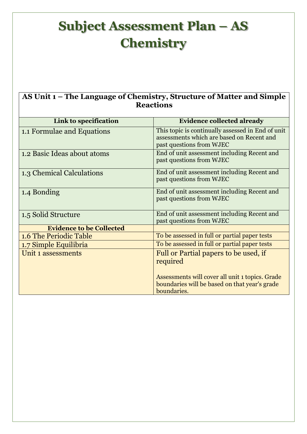## **Subject Assessment Plan – AS Chemistry**

## **AS Unit 1 – The Language of Chemistry, Structure of Matter and Simple Reactions**

| Link to specification           | <b>Evidence collected already</b>                                                                                          |
|---------------------------------|----------------------------------------------------------------------------------------------------------------------------|
| 1.1 Formulae and Equations      | This topic is continually assessed in End of unit<br>assessments which are based on Recent and<br>past questions from WJEC |
| 1.2 Basic Ideas about atoms     | End of unit assessment including Recent and<br>past questions from WJEC                                                    |
| 1.3 Chemical Calculations       | End of unit assessment including Recent and<br>past questions from WJEC                                                    |
| 1.4 Bonding                     | End of unit assessment including Recent and<br>past questions from WJEC                                                    |
| 1.5 Solid Structure             | End of unit assessment including Recent and<br>past questions from WJEC                                                    |
| <b>Evidence to be Collected</b> |                                                                                                                            |
| 1.6 The Periodic Table          | To be assessed in full or partial paper tests                                                                              |
| 1.7 Simple Equilibria           | To be assessed in full or partial paper tests                                                                              |
| Unit 1 assessments              | Full or Partial papers to be used, if<br>required                                                                          |
|                                 | Assessments will cover all unit 1 topics. Grade<br>boundaries will be based on that year's grade<br>boundaries.            |